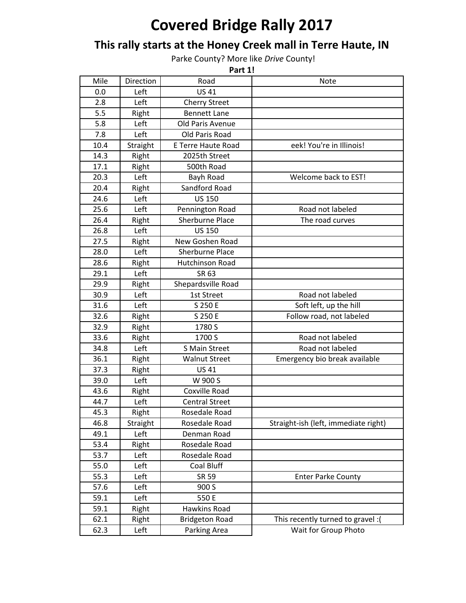## **Covered Bridge Rally 2017**

## This rally starts at the Honey Creek mall in Terre Haute, IN

Parke County? More like *Drive* County!

| Part 1! |           |                           |                                      |  |  |
|---------|-----------|---------------------------|--------------------------------------|--|--|
| Mile    | Direction | Road                      | <b>Note</b>                          |  |  |
| 0.0     | Left      | <b>US41</b>               |                                      |  |  |
| 2.8     | Left      | <b>Cherry Street</b>      |                                      |  |  |
| 5.5     | Right     | <b>Bennett Lane</b>       |                                      |  |  |
| 5.8     | Left      | Old Paris Avenue          |                                      |  |  |
| 7.8     | Left      | Old Paris Road            |                                      |  |  |
| 10.4    | Straight  | <b>E Terre Haute Road</b> | eek! You're in Illinois!             |  |  |
| 14.3    | Right     | 2025th Street             |                                      |  |  |
| 17.1    | Right     | 500th Road                |                                      |  |  |
| 20.3    | Left      | Bayh Road                 | Welcome back to EST!                 |  |  |
| 20.4    | Right     | Sandford Road             |                                      |  |  |
| 24.6    | Left      | <b>US 150</b>             |                                      |  |  |
| 25.6    | Left      | Pennington Road           | Road not labeled                     |  |  |
| 26.4    | Right     | <b>Sherburne Place</b>    | The road curves                      |  |  |
| 26.8    | Left      | <b>US 150</b>             |                                      |  |  |
| 27.5    | Right     | New Goshen Road           |                                      |  |  |
| 28.0    | Left      | <b>Sherburne Place</b>    |                                      |  |  |
| 28.6    | Right     | <b>Hutchinson Road</b>    |                                      |  |  |
| 29.1    | Left      | SR 63                     |                                      |  |  |
| 29.9    | Right     | Shepardsville Road        |                                      |  |  |
| 30.9    | Left      | 1st Street                | Road not labeled                     |  |  |
| 31.6    | Left      | S 250 E                   | Soft left, up the hill               |  |  |
| 32.6    | Right     | S 250 E                   | Follow road, not labeled             |  |  |
| 32.9    | Right     | 1780 S                    |                                      |  |  |
| 33.6    | Right     | 1700 S                    | Road not labeled                     |  |  |
| 34.8    | Left      | S Main Street             | Road not labeled                     |  |  |
| 36.1    | Right     | <b>Walnut Street</b>      | Emergency bio break available        |  |  |
| 37.3    | Right     | <b>US41</b>               |                                      |  |  |
| 39.0    | Left      | W 900 S                   |                                      |  |  |
| 43.6    | Right     | <b>Coxville Road</b>      |                                      |  |  |
| 44.7    | Left      | <b>Central Street</b>     |                                      |  |  |
| 45.3    | Right     | Rosedale Road             |                                      |  |  |
| 46.8    | Straight  | Rosedale Road             | Straight-ish (left, immediate right) |  |  |
| 49.1    | Left      | Denman Road               |                                      |  |  |
| 53.4    | Right     | Rosedale Road             |                                      |  |  |
| 53.7    | Left      | Rosedale Road             |                                      |  |  |
| 55.0    | Left      | Coal Bluff                |                                      |  |  |
| 55.3    | Left      | SR 59                     | <b>Enter Parke County</b>            |  |  |
| 57.6    | Left      | 900 S                     |                                      |  |  |
| 59.1    | Left      | 550 E                     |                                      |  |  |
| 59.1    | Right     | Hawkins Road              |                                      |  |  |
| 62.1    | Right     | <b>Bridgeton Road</b>     | This recently turned to gravel : (   |  |  |
| 62.3    | Left      | Parking Area              | Wait for Group Photo                 |  |  |